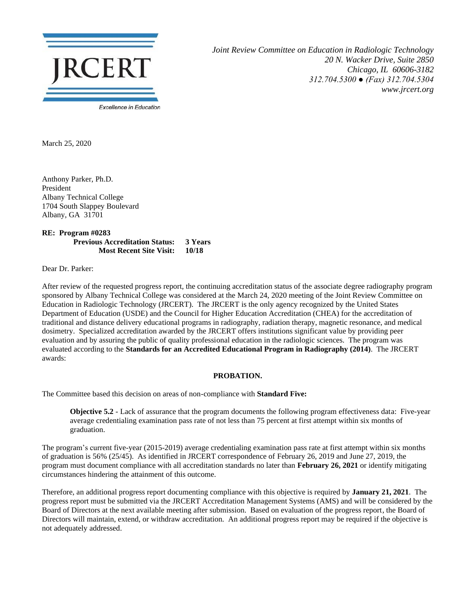

*Joint Review Committee on Education in Radiologic Technology 20 N. Wacker Drive, Suite 2850 Chicago, IL 60606-3182 312.704.5300 ● (Fax) 312.704.5304 www.jrcert.org*

March 25, 2020

Anthony Parker, Ph.D. President Albany Technical College 1704 South Slappey Boulevard Albany, GA 31701

**RE: Program #0283 Previous Accreditation Status: 3 Years Most Recent Site Visit: 10/18**

Dear Dr. Parker:

After review of the requested progress report, the continuing accreditation status of the associate degree radiography program sponsored by Albany Technical College was considered at the March 24, 2020 meeting of the Joint Review Committee on Education in Radiologic Technology (JRCERT). The JRCERT is the only agency recognized by the United States Department of Education (USDE) and the Council for Higher Education Accreditation (CHEA) for the accreditation of traditional and distance delivery educational programs in radiography, radiation therapy, magnetic resonance, and medical dosimetry. Specialized accreditation awarded by the JRCERT offers institutions significant value by providing peer evaluation and by assuring the public of quality professional education in the radiologic sciences. The program was evaluated according to the **Standards for an Accredited Educational Program in Radiography (2014)**. The JRCERT awards:

## **PROBATION.**

The Committee based this decision on areas of non-compliance with **Standard Five:**

**Objective 5.2** - Lack of assurance that the program documents the following program effectiveness data: Five-year average credentialing examination pass rate of not less than 75 percent at first attempt within six months of graduation.

The program's current five-year (2015-2019) average credentialing examination pass rate at first attempt within six months of graduation is 56% (25/45). As identified in JRCERT correspondence of February 26, 2019 and June 27, 2019, the program must document compliance with all accreditation standards no later than **February 26, 2021** or identify mitigating circumstances hindering the attainment of this outcome.

Therefore, an additional progress report documenting compliance with this objective is required by **January 21, 2021**. The progress report must be submitted via the JRCERT Accreditation Management Systems (AMS) and will be considered by the Board of Directors at the next available meeting after submission. Based on evaluation of the progress report, the Board of Directors will maintain, extend, or withdraw accreditation. An additional progress report may be required if the objective is not adequately addressed.